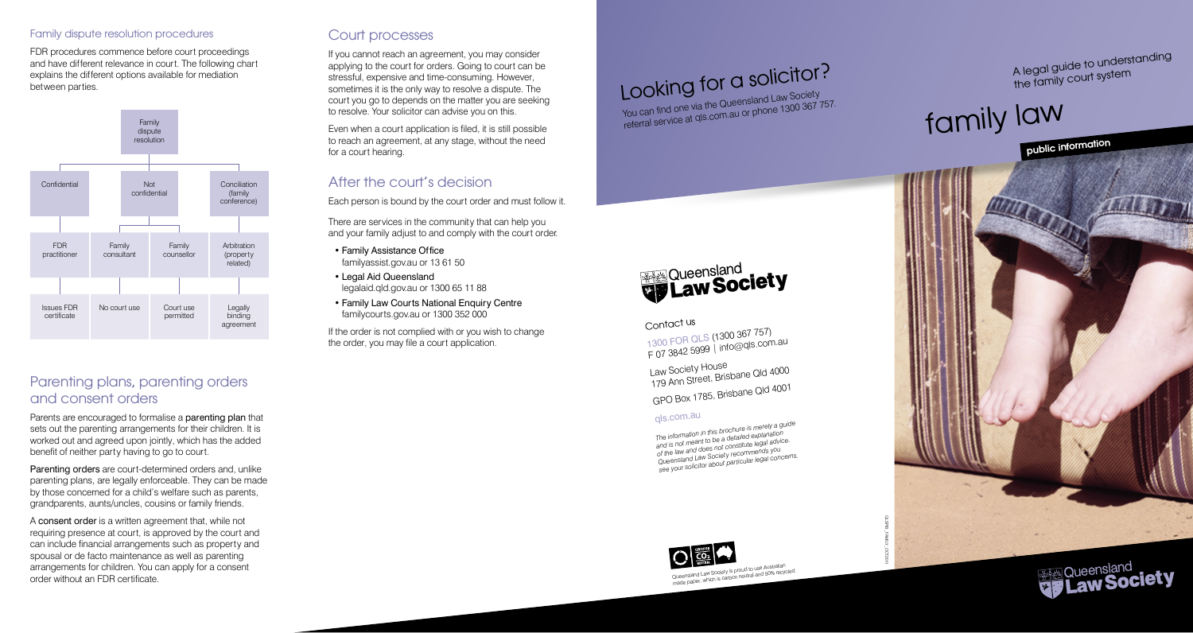#### Family dispute resolution procedures

FDR procedures commence before court proceedings and have different relevance in court. The following chart explains the different options available for mediation between parties.



# Parenting plans, parenting orders and consent orders

Parents are encouraged to formalise a parenting plan that sets out the parenting arrangements for their children. It is worked out and agreed upon jointly, which has the added benefit of neither party having to go to court.

Parenting orders are court-determined orders and, unlike parenting plans, are legally enforceable. They can be made by those concerned for a child's welfare such as parents, grandparents, aunts/uncles, cousins or family friends.

<sup>A</sup>consent order is a written agreement that, while not requiring presence at court, is approved by the court and can include financial arrangements such as property and spousal or de facto maintenance as well as parenting arrangements for children. You can apply for a consent order without an FDR certificate.

## Court processes

If you cannot reach an agreement, you may consider applying to the court for orders. Going to court can be stressful, expensive and time-consuming. However, sometimes it is the only way to resolve a dispute. The court you go to depends on the matter you are seeking to resolve. Your solicitor can advise you on this.

Even when a court application is filed, it is still possible to reach an agreement, at any stage, without the need for a court hearing.

# After the court's decision

Each person is bound by the court order and must follow it.

There are services in the community that can help you and your family adjust to and comply with the court order.

• Family Assistance Office familyassist.gov.au or 13 61 50

• Legal Aid Queensland legalaid.qld.gov.au or 1300 65 11 88

• Family Law Courts National Enquiry Centre familycourts.gov.au or 1300 352 000

If the order is not complied with or you wish to change the order, you may file a court application.





## Contact us

1300 FOR QLS (1300 367 757) F 07 3842 5999 | info@qls.com.au

Law Society House 179 Ann Street, Brisbane Qld 4000 GPO Box 1785, Brisbane Qld 4001

## <sup>q</sup>ls.com.au

*The information in this brochure is merely a guide and is not meant to be a detailed explanation of the law and does not constitute legal advice. Queensland Law Society recommends you see your solicitor about particular legal concerns.*



Queensland Law Society is proud to use Australian wueensiana Law Society is proud to use Australian<br>made paper, which is carbon neutral and 50% recycled. A legal guide to understanding the family court system

# family law